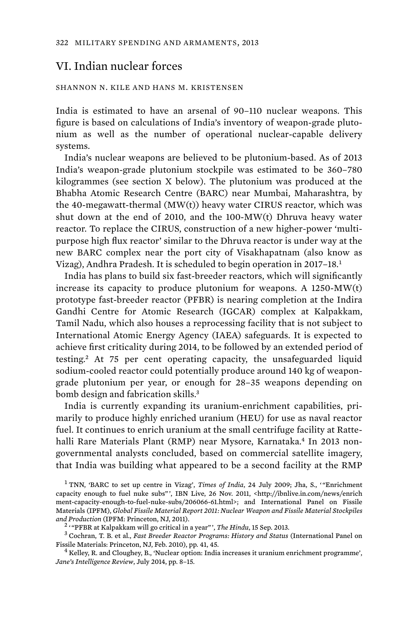# VI. Indian nuclear forces

#### SHANNON N. KILE AND HANS M. KRISTENSEN

India is estimated to have an arsenal of 90–110 nuclear weapons. This figure is based on calculations of India's inventory of weapon-grade plutonium as well as the number of operational nuclear-capable delivery systems.

India's nuclear weapons are believed to be plutonium-based. As of 2013 India's weapon-grade plutonium stockpile was estimated to be 360–780 kilogrammes (see section X below). The plutonium was produced at the Bhabha Atomic Research Centre (BARC) near Mumbai, Maharashtra, by the 40-megawatt-thermal (MW(t)) heavy water CIRUS reactor, which was shut down at the end of 2010, and the 100-MW(t) Dhruva heavy water reactor. To replace the CIRUS, construction of a new higher-power 'multipurpose high flux reactor' similar to the Dhruva reactor is under way at the new BARC complex near the port city of Visakhapatnam (also know as Vizag), Andhra Pradesh. It is scheduled to begin operation in 2017–18.<sup>1</sup>

India has plans to build six fast-breeder reactors, which will significantly increase its capacity to produce plutonium for weapons. A 1250-MW(t) prototype fast-breeder reactor (PFBR) is nearing completion at the Indira Gandhi Centre for Atomic Research (IGCAR) complex at Kalpakkam, Tamil Nadu, which also houses a reprocessing facility that is not subject to International Atomic Energy Agency (IAEA) safeguards. It is expected to achieve first criticality during 2014, to be followed by an extended period of testing.<sup>2</sup> At 75 per cent operating capacity, the unsafeguarded liquid sodium-cooled reactor could potentially produce around 140 kg of weapongrade plutonium per year, or enough for 28–35 weapons depending on bomb design and fabrication skills.<sup>3</sup>

India is currently expanding its uranium-enrichment capabilities, primarily to produce highly enriched uranium (HEU) for use as naval reactor fuel. It continues to enrich uranium at the small centrifuge facility at Rattehalli Rare Materials Plant (RMP) near Mysore, Karnataka.<sup>4</sup> In 2013 nongovernmental analysts concluded, based on commercial satellite imagery, that India was building what appeared to be a second facility at the RMP

<sup>&</sup>lt;sup>1</sup> TNN, 'BARC to set up centre in Vizag', *Times of India*, 24 July 2009; Jha, S., "Enrichment capacity enough to fuel nuke subs"', IBN Live, 26 Nov. 2011, <http://ibnlive.in.com/news/enrich ment-capacity-enough-to-fuel-nuke-subs/206066-61.html>; and International Panel on Fissile Materials (IPFM), *Global Fissile Material Report 2011: Nuclear Weapon and Fissile Material Stockpiles*  and Production (IPFM: Princeton, NJ, 2011).

<sup>&</sup>lt;sup>2</sup> "PFBR at Kalpakkam will go critical in a year"', *The Hindu*, 15 Sep. 2013.

Cochran, T. B. et al., *Fast Breeder Reactor Programs: History and Status* (International Panel on Fissile Materials: Princeton, NJ, Feb. 2010), pp. 41, 45. <sup>4</sup>

 $4$  Kelley, R. and Cloughey, B., 'Nuclear option: India increases it uranium enrichment programme', *Jane's Intelligence Review*, July 2014, pp. 8–15.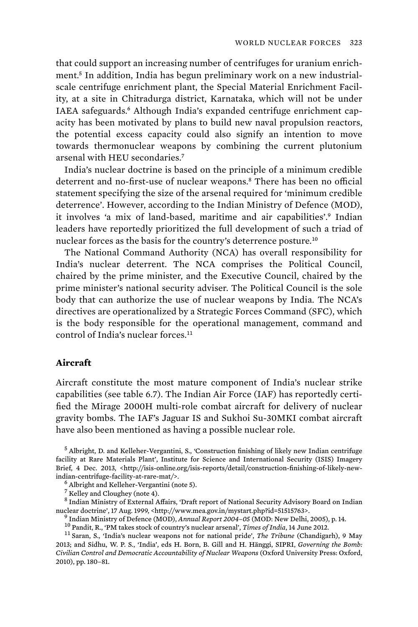that could support an increasing number of centrifuges for uranium enrichment.5 In addition, India has begun preliminary work on a new industrialscale centrifuge enrichment plant, the Special Material Enrichment Facility, at a site in Chitradurga district, Karnataka, which will not be under IAEA safeguards.<sup>6</sup> Although India's expanded centrifuge enrichment capacity has been motivated by plans to build new naval propulsion reactors, the potential excess capacity could also signify an intention to move towards thermonuclear weapons by combining the current plutonium arsenal with HEU secondaries.<sup>7</sup>

India's nuclear doctrine is based on the principle of a minimum credible deterrent and no-first-use of nuclear weapons.<sup>8</sup> There has been no official statement specifying the size of the arsenal required for 'minimum credible deterrence'. However, according to the Indian Ministry of Defence (MOD), it involves 'a mix of land-based, maritime and air capabilities'.<sup>9</sup> Indian leaders have reportedly prioritized the full development of such a triad of nuclear forces as the basis for the country's deterrence posture.<sup>10</sup>

The National Command Authority (NCA) has overall responsibility for India's nuclear deterrent. The NCA comprises the Political Council, chaired by the prime minister, and the Executive Council, chaired by the prime minister's national security adviser. The Political Council is the sole body that can authorize the use of nuclear weapons by India. The NCA's directives are operationalized by a Strategic Forces Command (SFC), which is the body responsible for the operational management, command and control of India's nuclear forces.<sup>11</sup>

## **Aircraft**

Aircraft constitute the most mature component of India's nuclear strike capabilities (see table 6.7). The Indian Air Force (IAF) has reportedly certified the Mirage 2000H multi-role combat aircraft for delivery of nuclear gravity bombs. The IAF's Jaguar IS and Sukhoi Su-30MKI combat aircraft have also been mentioned as having a possible nuclear role.

5 Albright, D. and Kelleher-Vergantini, S., 'Construction finishing of likely new Indian centrifuge facility at Rare Materials Plant', Institute for Science and International Security (ISIS) Imagery Brief, 4 Dec. 2013, <http://isis-online.org/isis-reports/detail/construction-finishing-of-likely-newindian-centrifuge-facility-at-rare-mat/>. <sup>6</sup>

Albright and Kelleher-Vergantini (note 5).

7 Kelley and Cloughey (note 4).

<sup>8</sup> Indian Ministry of External Affairs, 'Draft report of National Security Advisory Board on Indian nuclear doctrine', 17 Aug. 1999, <http://www.mea.gov.in/mystart.php?id=51515763>.<br><sup>9</sup> Indian Ministry of Defence (MOD), Annual Report 2004–05 (MOD: New Delhi, 2005), p. 14.

<sup>10</sup> Pandit, R., 'PM takes stock of country's nuclear arsenal', *Times of India*, 14 June 2012.<br><sup>11</sup> Saran, S., 'India's nuclear weapons not for national pride', *The Tribune* (Chandigarh), 9 May

2013; and Sidhu, W. P. S., 'India', eds H. Born, B. Gill and H. Hänggi, SIPRI, *Governing the Bomb: Civilian Control and Democratic Accountability of Nuclear Weapons* (Oxford University Press: Oxford, 2010), pp. 180–81.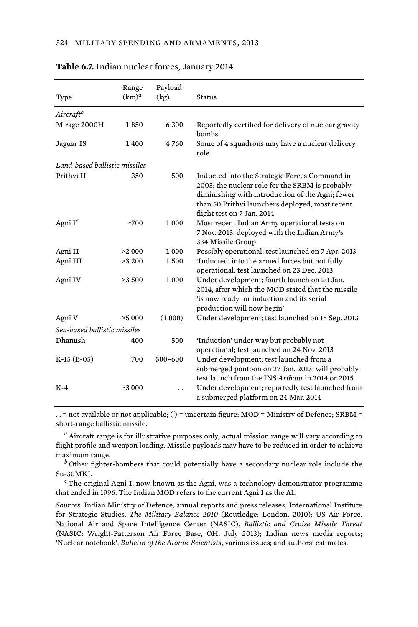|                               | Range    | Payload     | <b>Status</b>                                                                                                                                                                                                                         |
|-------------------------------|----------|-------------|---------------------------------------------------------------------------------------------------------------------------------------------------------------------------------------------------------------------------------------|
| Type                          | $(km)^a$ | (kg)        |                                                                                                                                                                                                                                       |
| Aircraftb                     |          |             |                                                                                                                                                                                                                                       |
| Mirage 2000H                  | 1850     | 6300        | Reportedly certified for delivery of nuclear gravity<br>bombs                                                                                                                                                                         |
| Jaguar IS                     | 1400     | 4760        | Some of 4 squadrons may have a nuclear delivery<br>role                                                                                                                                                                               |
| Land-based ballistic missiles |          |             |                                                                                                                                                                                                                                       |
| Prithvi II                    | 350      | 500         | Inducted into the Strategic Forces Command in<br>2003; the nuclear role for the SRBM is probably<br>diminishing with introduction of the Agni; fewer<br>than 50 Prithvi launchers deployed; most recent<br>flight test on 7 Jan. 2014 |
| Agni I <sup>c</sup>           | ~1700    | 1000        | Most recent Indian Army operational tests on<br>7 Nov. 2013; deployed with the Indian Army's<br>334 Missile Group                                                                                                                     |
| Agni II                       | >2 000   | 1000        | Possibly operational; test launched on 7 Apr. 2013                                                                                                                                                                                    |
| Agni III                      | >3200    | 1500        | 'Inducted' into the armed forces but not fully<br>operational; test launched on 23 Dec. 2013                                                                                                                                          |
| Agni IV                       | >3500    | 1 000       | Under development; fourth launch on 20 Jan.<br>2014, after which the MOD stated that the missile<br>'is now ready for induction and its serial<br>production will now begin'                                                          |
| Agni V                        | >5000    | (1000)      | Under development; test launched on 15 Sep. 2013                                                                                                                                                                                      |
| Sea-based ballistic missiles  |          |             |                                                                                                                                                                                                                                       |
| <b>Dhanush</b>                | 400      | 500         | 'Induction' under way but probably not<br>operational; test launched on 24 Nov. 2013                                                                                                                                                  |
| $K-15$ (B-05)                 | 700      | $500 - 600$ | Under development; test launched from a<br>submerged pontoon on 27 Jan. 2013; will probably<br>test launch from the INS Arihant in 2014 or 2015                                                                                       |
| $K-4$                         | $-3000$  |             | Under development; reportedly test launched from<br>a submerged platform on 24 Mar. 2014                                                                                                                                              |

#### **Table 6.7.** Indian nuclear forces, January 2014

. . = not available or not applicable; ( ) = uncertain figure; MOD = Ministry of Defence; SRBM = short-range ballistic missile.

*a* Aircraft range is for illustrative purposes only; actual mission range will vary according to flight profile and weapon loading. Missile payloads may have to be reduced in order to achieve maximum range.

*b* Other fighter-bombers that could potentially have a secondary nuclear role include the Su-30MKI.

*c* The original Agni I, now known as the Agni, was a technology demonstrator programme that ended in 1996. The Indian MOD refers to the current Agni I as the A1.

*Sources*: Indian Ministry of Defence, annual reports and press releases; International Institute for Strategic Studies, *The Military Balance 2010* (Routledge: London, 2010); US Air Force, National Air and Space Intelligence Center (NASIC), *Ballistic and Cruise Missile Threat* (NASIC: Wright-Patterson Air Force Base, OH, July 2013); Indian news media reports; 'Nuclear notebook', *Bulletin of the Atomic Scientists*, various issues; and authors' estimates.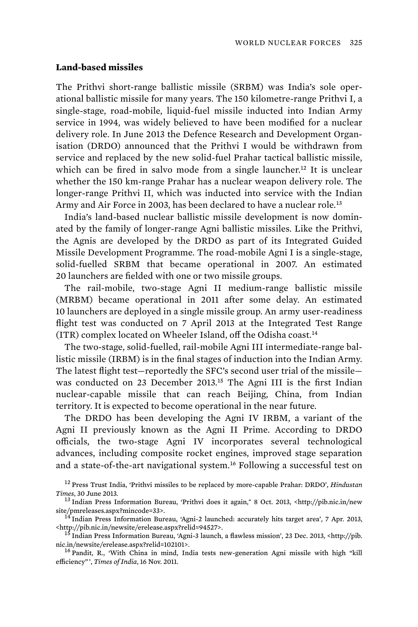# **Land-based missiles**

The Prithvi short-range ballistic missile (SRBM) was India's sole operational ballistic missile for many years. The 150 kilometre-range Prithvi I, a single-stage, road-mobile, liquid-fuel missile inducted into Indian Army service in 1994, was widely believed to have been modified for a nuclear delivery role. In June 2013 the Defence Research and Development Organisation (DRDO) announced that the Prithvi I would be withdrawn from service and replaced by the new solid-fuel Prahar tactical ballistic missile, which can be fired in salvo mode from a single launcher.<sup>12</sup> It is unclear whether the 150 km-range Prahar has a nuclear weapon delivery role. The longer-range Prithvi II, which was inducted into service with the Indian Army and Air Force in 2003, has been declared to have a nuclear role.<sup>13</sup>

India's land-based nuclear ballistic missile development is now dominated by the family of longer-range Agni ballistic missiles. Like the Prithvi, the Agnis are developed by the DRDO as part of its Integrated Guided Missile Development Programme. The road-mobile Agni I is a single-stage, solid-fuelled SRBM that became operational in 2007. An estimated 20 launchers are fielded with one or two missile groups.

 The rail-mobile, two-stage Agni II medium-range ballistic missile (MRBM) became operational in 2011 after some delay. An estimated 10 launchers are deployed in a single missile group. An army user-readiness flight test was conducted on 7 April 2013 at the Integrated Test Range (ITR) complex located on Wheeler Island, off the Odisha coast.<sup>14</sup>

The two-stage, solid-fuelled, rail-mobile Agni III intermediate-range ballistic missile (IRBM) is in the final stages of induction into the Indian Army. The latest flight test—reportedly the SFC's second user trial of the missile was conducted on 23 December 2013.<sup>15</sup> The Agni III is the first Indian nuclear-capable missile that can reach Beijing, China, from Indian territory. It is expected to become operational in the near future.

The DRDO has been developing the Agni IV IRBM, a variant of the Agni II previously known as the Agni II Prime. According to DRDO officials, the two-stage Agni IV incorporates several technological advances, including composite rocket engines, improved stage separation and a state-of-the-art navigational system.<sup>16</sup> Following a successful test on

<sup>12</sup> Press Trust India, 'Prithvi missiles to be replaced by more-capable Prahar: DRDO', *Hindustan* 

<sup>&</sup>lt;sup>13</sup> Indian Press Information Bureau, 'Prithvi does it again," 8 Oct. 2013, <http://pib.nic.in/new

site/pmreleases.aspx?mincode=33>.<br><sup>14</sup> Indian Press Information Bureau, 'Agni-2 launched: accurately hits target area', 7 Apr. 2013,<br><http://pib.nic.in/newsite/erelease.aspx?relid=94527>.

<sup>&</sup>lt;sup>15</sup> Indian Press Information Bureau, 'Agni-3 launch, a flawless mission', 23 Dec. 2013, <http://pib. nic.in/newsite/erelease.aspx?relid=102101>.<br><sup>16</sup> Pandit, R., 'With China in mind, India tests new-generation Agni missile with high "kill

efficiency" ', *Times of India*, 16 Nov. 2011.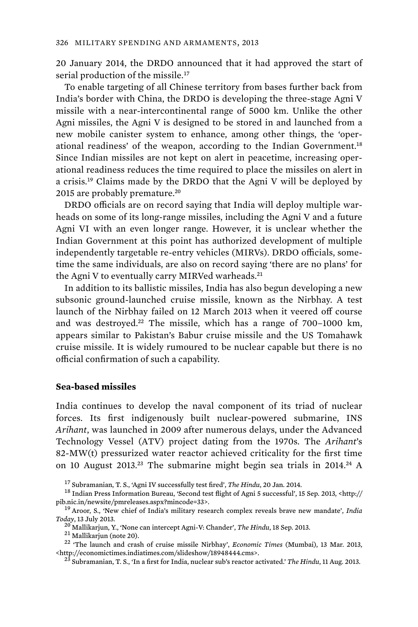20 January 2014, the DRDO announced that it had approved the start of serial production of the missile.<sup>17</sup>

To enable targeting of all Chinese territory from bases further back from India's border with China, the DRDO is developing the three-stage Agni V missile with a near-intercontinental range of 5000 km. Unlike the other Agni missiles, the Agni V is designed to be stored in and launched from a new mobile canister system to enhance, among other things, the 'operational readiness' of the weapon, according to the Indian Government.<sup>18</sup> Since Indian missiles are not kept on alert in peacetime, increasing operational readiness reduces the time required to place the missiles on alert in a crisis.<sup>19</sup> Claims made by the DRDO that the Agni V will be deployed by 2015 are probably premature.<sup>20</sup>

DRDO officials are on record saying that India will deploy multiple warheads on some of its long-range missiles, including the Agni V and a future Agni VI with an even longer range. However, it is unclear whether the Indian Government at this point has authorized development of multiple independently targetable re-entry vehicles (MIRVs). DRDO officials, sometime the same individuals, are also on record saying 'there are no plans' for the Agni V to eventually carry MIRVed warheads.<sup>21</sup>

In addition to its ballistic missiles, India has also begun developing a new subsonic ground-launched cruise missile, known as the Nirbhay. A test launch of the Nirbhay failed on 12 March 2013 when it veered off course and was destroyed.<sup>22</sup> The missile, which has a range of  $700-1000 \text{ km}$ , appears similar to Pakistan's Babur cruise missile and the US Tomahawk cruise missile. It is widely rumoured to be nuclear capable but there is no official confirmation of such a capability.

### **Sea-based missiles**

India continues to develop the naval component of its triad of nuclear forces. Its first indigenously built nuclear-powered submarine, INS *Arihant*, was launched in 2009 after numerous delays, under the Advanced Technology Vessel (ATV) project dating from the 1970s. The *Arihant*'s 82-MW(t) pressurized water reactor achieved criticality for the first time on 10 August 2013.<sup>23</sup> The submarine might begin sea trials in 2014.<sup>24</sup> A

Today, 13 July 2013.<br><sup>20</sup> Mallikarjun, Y., 'None can intercept Agni-V: Chander', *The Hindu*, 18 Sep. 2013.<br><sup>21</sup> Mallikarjun (note 20).<br><sup>22</sup> 'The launch and crash of cruise missile Nirbhay', *Economic Times* (Mumbai), 13 M

<sup>23</sup> Subramanian, T. S., 'In a first for India, nuclear sub's reactor activated.' *The Hindu*, 11 Aug. 2013.

<sup>&</sup>lt;sup>17</sup> Subramanian, T. S., 'Agni IV successfully test fired', *The Hindu*, 20 Jan. 2014.<br><sup>18</sup> Indian Press Information Bureau, 'Second test flight of Agni 5 successful', 15 Sep. 2013, <http:// pib.nic.in/newsite/pmreleases.aspx?mincode=33>. 19 Aroor, S., 'New chief of India's military research complex reveals brave new mandate', *India*